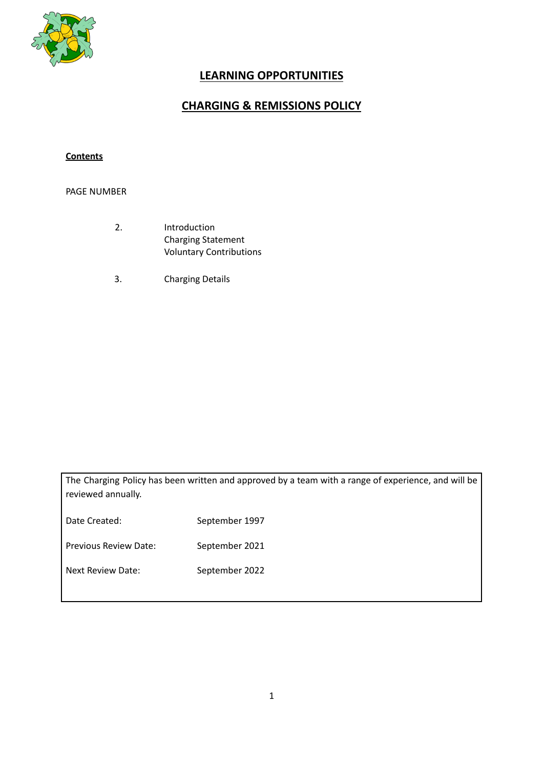

# **LEARNING OPPORTUNITIES**

## **CHARGING & REMISSIONS POLICY**

## **Contents**

## PAGE NUMBER

- 2. Introduction Charging Statement Voluntary Contributions
- 3. Charging Details

The Charging Policy has been written and approved by a team with a range of experience, and will be reviewed annually.

Date Created: September 1997 Previous Review Date: September 2021

Next Review Date: September 2022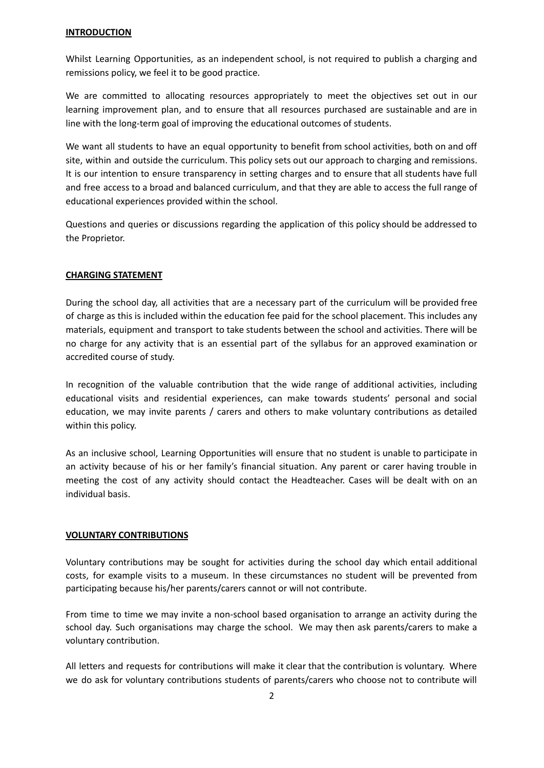#### **INTRODUCTION**

Whilst Learning Opportunities, as an independent school, is not required to publish a charging and remissions policy, we feel it to be good practice.

We are committed to allocating resources appropriately to meet the objectives set out in our learning improvement plan, and to ensure that all resources purchased are sustainable and are in line with the long-term goal of improving the educational outcomes of students.

We want all students to have an equal opportunity to benefit from school activities, both on and off site, within and outside the curriculum. This policy sets out our approach to charging and remissions. It is our intention to ensure transparency in setting charges and to ensure that all students have full and free access to a broad and balanced curriculum, and that they are able to access the full range of educational experiences provided within the school.

Questions and queries or discussions regarding the application of this policy should be addressed to the Proprietor.

#### **CHARGING STATEMENT**

During the school day, all activities that are a necessary part of the curriculum will be provided free of charge as this is included within the education fee paid for the school placement. This includes any materials, equipment and transport to take students between the school and activities. There will be no charge for any activity that is an essential part of the syllabus for an approved examination or accredited course of study.

In recognition of the valuable contribution that the wide range of additional activities, including educational visits and residential experiences, can make towards students' personal and social education, we may invite parents / carers and others to make voluntary contributions as detailed within this policy.

As an inclusive school, Learning Opportunities will ensure that no student is unable to participate in an activity because of his or her family's financial situation. Any parent or carer having trouble in meeting the cost of any activity should contact the Headteacher. Cases will be dealt with on an individual basis.

#### **VOLUNTARY CONTRIBUTIONS**

Voluntary contributions may be sought for activities during the school day which entail additional costs, for example visits to a museum. In these circumstances no student will be prevented from participating because his/her parents/carers cannot or will not contribute.

From time to time we may invite a non-school based organisation to arrange an activity during the school day. Such organisations may charge the school. We may then ask parents/carers to make a voluntary contribution.

All letters and requests for contributions will make it clear that the contribution is voluntary. Where we do ask for voluntary contributions students of parents/carers who choose not to contribute will